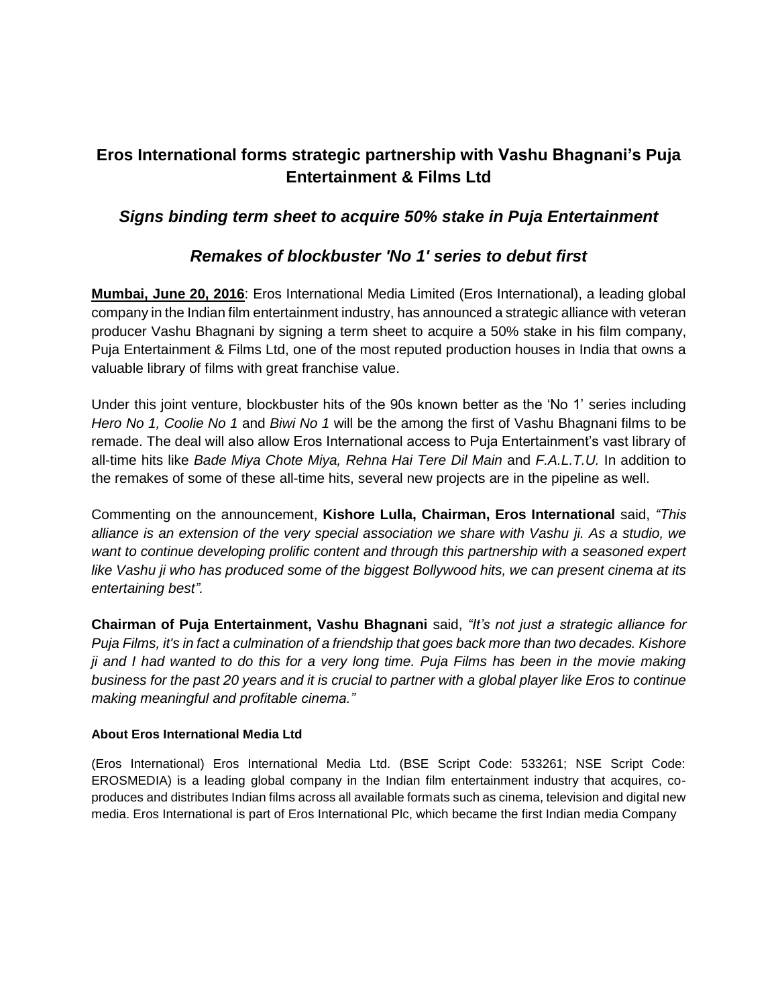## **Eros International forms strategic partnership with Vashu Bhagnani's Puja Entertainment & Films Ltd**

## *Signs binding term sheet to acquire 50% stake in Puja Entertainment*

## *Remakes of blockbuster 'No 1' series to debut first*

**Mumbai, June 20, 2016**: Eros International Media Limited (Eros International), a leading global company in the Indian film entertainment industry, has announced a strategic alliance with veteran producer Vashu Bhagnani by signing a term sheet to acquire a 50% stake in his film company, Puja Entertainment & Films Ltd, one of the most reputed production houses in India that owns a valuable library of films with great franchise value.

Under this joint venture, blockbuster hits of the 90s known better as the 'No 1' series including *Hero No 1, Coolie No 1* and *Biwi No 1* will be the among the first of Vashu Bhagnani films to be remade. The deal will also allow Eros International access to Puja Entertainment's vast library of all-time hits like *Bade Miya Chote Miya, Rehna Hai Tere Dil Main* and *F.A.L.T.U.* In addition to the remakes of some of these all-time hits, several new projects are in the pipeline as well.

Commenting on the announcement, **Kishore Lulla, Chairman, Eros International** said, *"This alliance is an extension of the very special association we share with Vashu ji. As a studio, we want to continue developing prolific content and through this partnership with a seasoned expert like Vashu ji who has produced some of the biggest Bollywood hits, we can present cinema at its entertaining best".*

**Chairman of Puja Entertainment, Vashu Bhagnani** said, *"It's not just a strategic alliance for Puja Films, it's in fact a culmination of a friendship that goes back more than two decades. Kishore ji and I had wanted to do this for a very long time. Puja Films has been in the movie making business for the past 20 years and it is crucial to partner with a global player like Eros to continue making meaningful and profitable cinema."*

## **About Eros International Media Ltd**

(Eros International) Eros International Media Ltd. (BSE Script Code: 533261; NSE Script Code: EROSMEDIA) is a leading global company in the Indian film entertainment industry that acquires, coproduces and distributes Indian films across all available formats such as cinema, television and digital new media. Eros International is part of Eros International Plc, which became the first Indian media Company